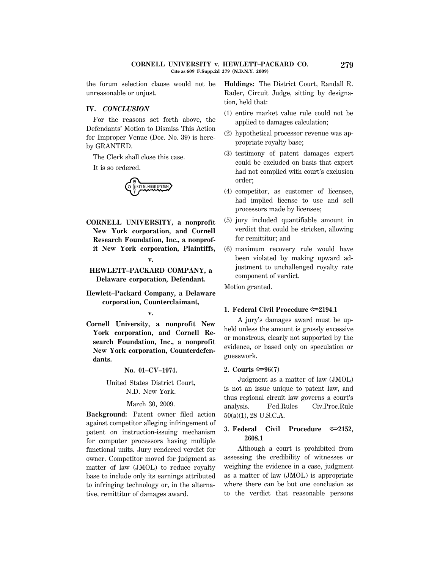the forum selection clause would not be unreasonable or unjust.

### **IV.** *CONCLUSION*

For the reasons set forth above, the Defendants' Motion to Dismiss This Action for Improper Venue (Doc. No. 39) is hereby GRANTED.

The Clerk shall close this case.

It is so ordered.



- **CORNELL UNIVERSITY, a nonprofit New York corporation, and Cornell Research Foundation, Inc., a nonprofit New York corporation, Plaintiffs,**
- **HEWLETT–PACKARD COMPANY, a Delaware corporation, Defendant.**

**v.**

**Hewlett–Packard Company, a Delaware corporation, Counterclaimant,**

**v.**

**Cornell University, a nonprofit New York corporation, and Cornell Research Foundation, Inc., a nonprofit New York corporation, Counterdefendants.**

**No. 01–CV–1974.**

# United States District Court, N.D. New York.

## March 30, 2009.

**Background:** Patent owner filed action against competitor alleging infringement of patent on instruction-issuing mechanism for computer processors having multiple functional units. Jury rendered verdict for owner. Competitor moved for judgment as matter of law (JMOL) to reduce royalty base to include only its earnings attributed to infringing technology or, in the alternative, remittitur of damages award.

**Holdings:** The District Court, Randall R. Rader, Circuit Judge, sitting by designation, held that:

- (1) entire market value rule could not be applied to damages calculation;
- (2) hypothetical processor revenue was appropriate royalty base;
- (3) testimony of patent damages expert could be excluded on basis that expert had not complied with court's exclusion order;
- (4) competitor, as customer of licensee, had implied license to use and sell processors made by licensee;
- (5) jury included quantifiable amount in verdict that could be stricken, allowing for remittitur; and
- (6) maximum recovery rule would have been violated by making upward adjustment to unchallenged royalty rate component of verdict.

Motion granted.

## **1. Federal Civil Procedure**  $\approx 2194.1$

A jury's damages award must be upheld unless the amount is grossly excessive or monstrous, clearly not supported by the evidence, or based only on speculation or guesswork.

#### **2. Courts** O**96(7)**

Judgment as a matter of law (JMOL) is not an issue unique to patent law, and thus regional circuit law governs a court's analysis. Fed.Rules Civ.Proc.Rule 50(a)(1), 28 U.S.C.A.

# **3. Federal Civil Procedure**  $\infty$ **2152. 2608.1**

Although a court is prohibited from assessing the credibility of witnesses or weighing the evidence in a case, judgment as a matter of law (JMOL) is appropriate where there can be but one conclusion as to the verdict that reasonable persons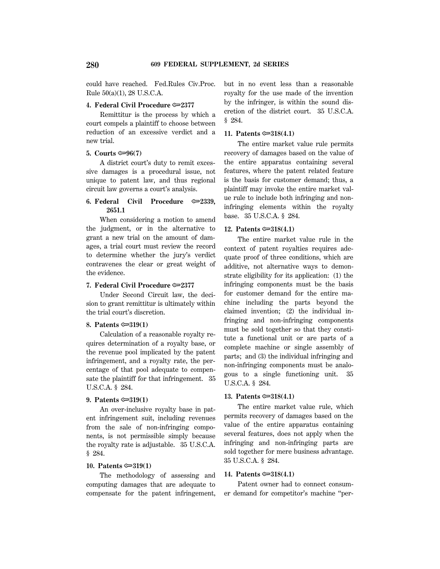could have reached. Fed.Rules Civ.Proc. Rule 50(a)(1), 28 U.S.C.A.

### **4. Federal Civil Procedure**  $\approx 2377$

Remittitur is the process by which a court compels a plaintiff to choose between reduction of an excessive verdict and a new trial.

## **5.** Courts  $\mathfrak{S}$  96(7)

A district court's duty to remit excessive damages is a procedural issue, not unique to patent law, and thus regional circuit law governs a court's analysis.

# **6. Federal Civil Procedure**  $\infty$ **2339. 2651.1**

When considering a motion to amend the judgment, or in the alternative to grant a new trial on the amount of damages, a trial court must review the record to determine whether the jury's verdict contravenes the clear or great weight of the evidence.

# **7. Federal Civil Procedure**  $\approx 2377$

Under Second Circuit law, the decision to grant remittitur is ultimately within the trial court's discretion.

# **8. Patents** O**319(1)**

Calculation of a reasonable royalty requires determination of a royalty base, or the revenue pool implicated by the patent infringement, and a royalty rate, the percentage of that pool adequate to compensate the plaintiff for that infringement. 35 U.S.C.A. § 284.

## **9. Patents**  $\approx 319(1)$

An over-inclusive royalty base in patent infringement suit, including revenues from the sale of non-infringing components, is not permissible simply because the royalty rate is adjustable. 35 U.S.C.A. § 284.

# **10. Patents**  $\approx 319(1)$

The methodology of assessing and computing damages that are adequate to compensate for the patent infringement, but in no event less than a reasonable royalty for the use made of the invention by the infringer, is within the sound discretion of the district court. 35 U.S.C.A. § 284.

## **11. Patents**  $\approx 318(4.1)$

The entire market value rule permits recovery of damages based on the value of the entire apparatus containing several features, where the patent related feature is the basis for customer demand; thus, a plaintiff may invoke the entire market value rule to include both infringing and noninfringing elements within the royalty base. 35 U.S.C.A. § 284.

## **12. Patents** O**318(4.1)**

The entire market value rule in the context of patent royalties requires adequate proof of three conditions, which are additive, not alternative ways to demonstrate eligibility for its application: (1) the infringing components must be the basis for customer demand for the entire machine including the parts beyond the claimed invention; (2) the individual infringing and non-infringing components must be sold together so that they constitute a functional unit or are parts of a complete machine or single assembly of parts; and (3) the individual infringing and non-infringing components must be analogous to a single functioning unit. 35 U.S.C.A. § 284.

# **13. Patents** O**318(4.1)**

The entire market value rule, which permits recovery of damages based on the value of the entire apparatus containing several features, does not apply when the infringing and non-infringing parts are sold together for mere business advantage. 35 U.S.C.A. § 284.

## **14. Patents**  $\approx 318(4.1)$

Patent owner had to connect consumer demand for competitor's machine ''per-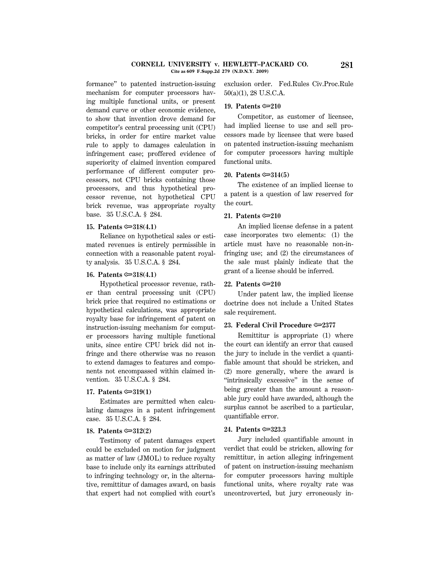#### **CORNELL UNIVERSITY v. HEWLETT–PACKARD CO. 281 Cite as 609 F.Supp.2d 279 (N.D.N.Y. 2009)**

formance'' to patented instruction-issuing mechanism for computer processors having multiple functional units, or present demand curve or other economic evidence, to show that invention drove demand for competitor's central processing unit (CPU) bricks, in order for entire market value rule to apply to damages calculation in infringement case; proffered evidence of superiority of claimed invention compared performance of different computer processors, not CPU bricks containing those processors, and thus hypothetical processor revenue, not hypothetical CPU brick revenue, was appropriate royalty base. 35 U.S.C.A. § 284.

## **15. Patents**  $\approx 318(4.1)$

Reliance on hypothetical sales or estimated revenues is entirely permissible in connection with a reasonable patent royalty analysis. 35 U.S.C.A. § 284.

## **16. Patents**  $\approx 318(4.1)$

Hypothetical processor revenue, rather than central processing unit (CPU) brick price that required no estimations or hypothetical calculations, was appropriate royalty base for infringement of patent on instruction-issuing mechanism for computer processors having multiple functional units, since entire CPU brick did not infringe and there otherwise was no reason to extend damages to features and components not encompassed within claimed invention. 35 U.S.C.A. § 284.

### **17. Patents**  $\approx 319(1)$

Estimates are permitted when calculating damages in a patent infringement case. 35 U.S.C.A. § 284.

#### **18. Patents**  $\approx 312(2)$

Testimony of patent damages expert could be excluded on motion for judgment as matter of law (JMOL) to reduce royalty base to include only its earnings attributed to infringing technology or, in the alternative, remittitur of damages award, on basis that expert had not complied with court's exclusion order. Fed.Rules Civ.Proc.Rule 50(a)(1), 28 U.S.C.A.

## **19. Patents** O**210**

Competitor, as customer of licensee, had implied license to use and sell processors made by licensee that were based on patented instruction-issuing mechanism for computer processors having multiple functional units.

#### **20. Patents** O**314(5)**

The existence of an implied license to a patent is a question of law reserved for the court.

# **21. Patents**  $\approx 210$

An implied license defense in a patent case incorporates two elements: (1) the article must have no reasonable non-infringing use; and (2) the circumstances of the sale must plainly indicate that the grant of a license should be inferred.

### **22. Patents** O**210**

Under patent law, the implied license doctrine does not include a United States sale requirement.

## **23. Federal Civil Procedure**  $\approx 2377$

Remittitur is appropriate (1) where the court can identify an error that caused the jury to include in the verdict a quantifiable amount that should be stricken, and (2) more generally, where the award is ''intrinsically excessive'' in the sense of being greater than the amount a reasonable jury could have awarded, although the surplus cannot be ascribed to a particular, quantifiable error.

#### **24. Patents** O**323.3**

Jury included quantifiable amount in verdict that could be stricken, allowing for remittitur, in action alleging infringement of patent on instruction-issuing mechanism for computer processors having multiple functional units, where royalty rate was uncontroverted, but jury erroneously in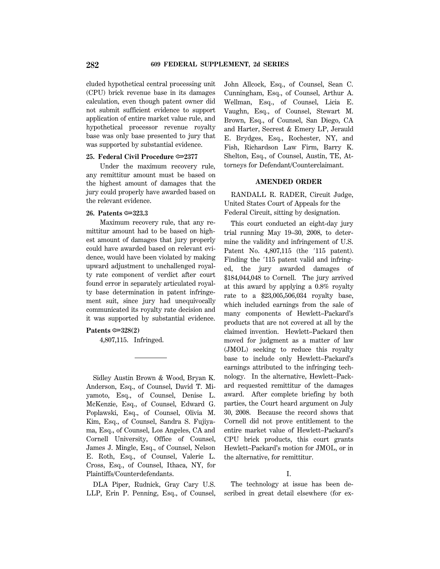cluded hypothetical central processing unit (CPU) brick revenue base in its damages calculation, even though patent owner did not submit sufficient evidence to support application of entire market value rule, and hypothetical processor revenue royalty base was only base presented to jury that was supported by substantial evidence.

### **25. Federal Civil Procedure**  $\approx 2377$

Under the maximum recovery rule, any remittitur amount must be based on the highest amount of damages that the jury could properly have awarded based on the relevant evidence.

# **26. Patents** O**323.3**

Maximum recovery rule, that any remittitur amount had to be based on highest amount of damages that jury properly could have awarded based on relevant evidence, would have been violated by making upward adjustment to unchallenged royalty rate component of verdict after court found error in separately articulated royalty base determination in patent infringement suit, since jury had unequivocally communicated its royalty rate decision and it was supported by substantial evidence.

# **Patents**  $\approx 328(2)$

4,807,115. Infringed.

Sidley Austin Brown & Wood, Bryan K. Anderson, Esq., of Counsel, David T. Miyamoto, Esq., of Counsel, Denise L. McKenzie, Esq., of Counsel, Edward G. Poplawski, Esq., of Counsel, Olivia M. Kim, Esq., of Counsel, Sandra S. Fujiyama, Esq., of Counsel, Los Angeles, CA and Cornell University, Office of Counsel, James J. Mingle, Esq., of Counsel, Nelson E. Roth, Esq., of Counsel, Valerie L. Cross, Esq., of Counsel, Ithaca, NY, for Plaintiffs/Counterdefendants.

DLA Piper, Rudnick, Gray Cary U.S. LLP, Erin P. Penning, Esq., of Counsel, John Allcock, Esq., of Counsel, Sean C. Cunningham, Esq., of Counsel, Arthur A. Wellman, Esq., of Counsel, Licia E. Vaughn, Esq., of Counsel, Stewart M. Brown, Esq., of Counsel, San Diego, CA and Harter, Secrest & Emery LP, Jerauld E. Brydges, Esq., Rochester, NY, and Fish, Richardson Law Firm, Barry K. Shelton, Esq., of Counsel, Austin, TE, Attorneys for Defendant/Counterclaimant.

## **AMENDED ORDER**

RANDALL R. RADER, Circuit Judge, United States Court of Appeals for the Federal Circuit, sitting by designation.

This court conducted an eight-day jury trial running May 19–30, 2008, to determine the validity and infringement of U.S. Patent No. 4,807,115 (the '115 patent). Finding the '115 patent valid and infringed, the jury awarded damages of \$184,044,048 to Cornell. The jury arrived at this award by applying a 0.8% royalty rate to a \$23,005,506,034 royalty base, which included earnings from the sale of many components of Hewlett–Packard's products that are not covered at all by the claimed invention. Hewlett–Packard then moved for judgment as a matter of law (JMOL) seeking to reduce this royalty base to include only Hewlett–Packard's earnings attributed to the infringing technology. In the alternative, Hewlett–Packard requested remittitur of the damages award. After complete briefing by both parties, the Court heard argument on July 30, 2008. Because the record shows that Cornell did not prove entitlement to the entire market value of Hewlett–Packard's CPU brick products, this court grants Hewlett–Packard's motion for JMOL, or in the alternative, for remittitur.

# I.

The technology at issue has been described in great detail elsewhere (for ex-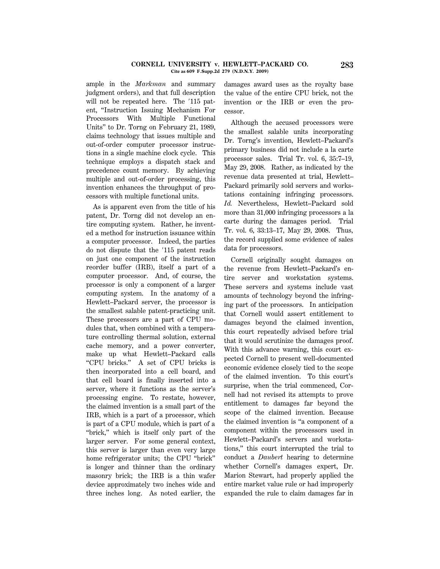#### **CORNELL UNIVERSITY v. HEWLETT–PACKARD CO. 283 Cite as 609 F.Supp.2d 279 (N.D.N.Y. 2009)**

ample in the *Markman* and summary judgment orders), and that full description will not be repeated here. The  $'115$  patent, ''Instruction Issuing Mechanism For Processors With Multiple Functional Units'' to Dr. Torng on February 21, 1989, claims technology that issues multiple and out-of-order computer processor instructions in a single machine clock cycle. This technique employs a dispatch stack and precedence count memory. By achieving multiple and out-of-order processing, this invention enhances the throughput of processors with multiple functional units.

As is apparent even from the title of his patent, Dr. Torng did not develop an entire computing system. Rather, he invented a method for instruction issuance within a computer processor. Indeed, the parties do not dispute that the  $'115$  patent reads on just one component of the instruction reorder buffer (IRB), itself a part of a computer processor. And, of course, the processor is only a component of a larger computing system. In the anatomy of a Hewlett–Packard server, the processor is the smallest salable patent-practicing unit. These processors are a part of CPU modules that, when combined with a temperature controlling thermal solution, external cache memory, and a power converter, make up what Hewlett–Packard calls ''CPU bricks.'' A set of CPU bricks is then incorporated into a cell board, and that cell board is finally inserted into a server, where it functions as the server's processing engine. To restate, however, the claimed invention is a small part of the IRB, which is a part of a processor, which is part of a CPU module, which is part of a "brick," which is itself only part of the larger server. For some general context, this server is larger than even very large home refrigerator units; the CPU ''brick'' is longer and thinner than the ordinary masonry brick; the IRB is a thin wafer device approximately two inches wide and three inches long. As noted earlier, the damages award uses as the royalty base the value of the entire CPU brick, not the invention or the IRB or even the processor.

Although the accused processors were the smallest salable units incorporating Dr. Torng's invention, Hewlett–Packard's primary business did not include a la carte processor sales. Trial Tr. vol. 6, 35:7–19, May 29, 2008. Rather, as indicated by the revenue data presented at trial, Hewlett– Packard primarily sold servers and workstations containing infringing processors. *Id.* Nevertheless, Hewlett–Packard sold more than 31,000 infringing processors a la carte during the damages period. Trial Tr. vol. 6, 33:13–17, May 29, 2008. Thus, the record supplied some evidence of sales data for processors.

Cornell originally sought damages on the revenue from Hewlett–Packard's entire server and workstation systems. These servers and systems include vast amounts of technology beyond the infringing part of the processors. In anticipation that Cornell would assert entitlement to damages beyond the claimed invention, this court repeatedly advised before trial that it would scrutinize the damages proof. With this advance warning, this court expected Cornell to present well-documented economic evidence closely tied to the scope of the claimed invention. To this court's surprise, when the trial commenced, Cornell had not revised its attempts to prove entitlement to damages far beyond the scope of the claimed invention. Because the claimed invention is ''a component of a component within the processors used in Hewlett–Packard's servers and workstations,'' this court interrupted the trial to conduct a *Daubert* hearing to determine whether Cornell's damages expert, Dr. Marion Stewart, had properly applied the entire market value rule or had improperly expanded the rule to claim damages far in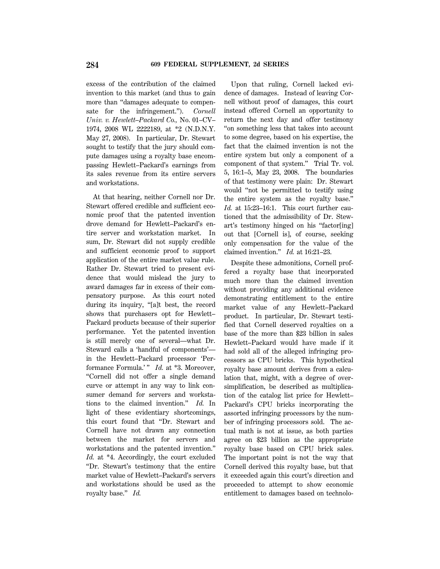excess of the contribution of the claimed invention to this market (and thus to gain more than ''damages adequate to compensate for the infringement.''). *Cornell Univ. v. Hewlett–Packard Co.,* No. 01–CV– 1974, 2008 WL 2222189, at \*2 (N.D.N.Y. May 27, 2008). In particular, Dr. Stewart sought to testify that the jury should compute damages using a royalty base encompassing Hewlett–Packard's earnings from its sales revenue from its entire servers and workstations.

At that hearing, neither Cornell nor Dr. Stewart offered credible and sufficient economic proof that the patented invention drove demand for Hewlett–Packard's entire server and workstation market. In sum, Dr. Stewart did not supply credible and sufficient economic proof to support application of the entire market value rule. Rather Dr. Stewart tried to present evidence that would mislead the jury to award damages far in excess of their compensatory purpose. As this court noted during its inquiry, ''[a]t best, the record shows that purchasers opt for Hewlett– Packard products because of their superior performance. Yet the patented invention is still merely one of several—what Dr. Steward calls a 'handful of components' in the Hewlett–Packard processor 'Performance Formula.'" *Id.* at \*3. Moreover, ''Cornell did not offer a single demand curve or attempt in any way to link consumer demand for servers and workstations to the claimed invention.'' *Id.* In light of these evidentiary shortcomings, this court found that ''Dr. Stewart and Cornell have not drawn any connection between the market for servers and workstations and the patented invention.'' *Id.* at \*4. Accordingly, the court excluded ''Dr. Stewart's testimony that the entire market value of Hewlett–Packard's servers and workstations should be used as the royalty base.'' *Id.*

Upon that ruling, Cornell lacked evidence of damages. Instead of leaving Cornell without proof of damages, this court instead offered Cornell an opportunity to return the next day and offer testimony ''on something less that takes into account to some degree, based on his expertise, the fact that the claimed invention is not the entire system but only a component of a component of that system.'' Trial Tr. vol. 5, 16:1–5, May 23, 2008. The boundaries of that testimony were plain: Dr. Stewart would ''not be permitted to testify using the entire system as the royalty base.'' *Id.* at 15:23–16:1. This court further cautioned that the admissibility of Dr. Stewart's testimony hinged on his ''factor[ing] out that [Cornell is], of course, seeking only compensation for the value of the claimed invention.'' *Id.* at 16:21–23.

Despite these admonitions, Cornell proffered a royalty base that incorporated much more than the claimed invention without providing any additional evidence demonstrating entitlement to the entire market value of any Hewlett–Packard product. In particular, Dr. Stewart testified that Cornell deserved royalties on a base of the more than \$23 billion in sales Hewlett–Packard would have made if it had sold all of the alleged infringing processors as CPU bricks. This hypothetical royalty base amount derives from a calculation that, might, with a degree of oversimplification, be described as multiplication of the catalog list price for Hewlett– Packard's CPU bricks incorporating the assorted infringing processors by the number of infringing processors sold. The actual math is not at issue, as both parties agree on \$23 billion as the appropriate royalty base based on CPU brick sales. The important point is not the way that Cornell derived this royalty base, but that it exceeded again this court's direction and proceeded to attempt to show economic entitlement to damages based on technolo-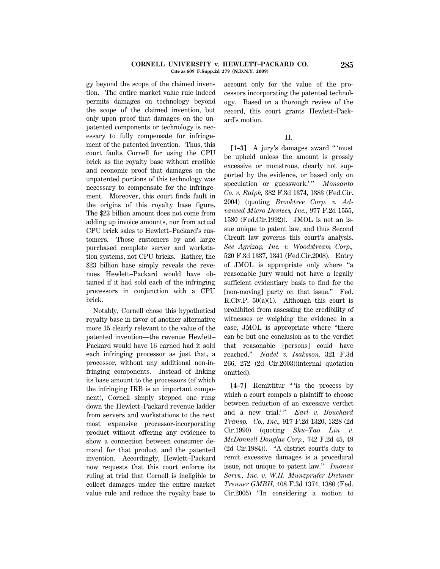#### **CORNELL UNIVERSITY v. HEWLETT–PACKARD CO. 285 Cite as 609 F.Supp.2d 279 (N.D.N.Y. 2009)**

gy beyond the scope of the claimed invention. The entire market value rule indeed permits damages on technology beyond the scope of the claimed invention, but only upon proof that damages on the unpatented components or technology is necessary to fully compensate for infringement of the patented invention. Thus, this court faults Cornell for using the CPU brick as the royalty base without credible and economic proof that damages on the unpatented portions of this technology was necessary to compensate for the infringement. Moreover, this court finds fault in the origins of this royalty base figure. The \$23 billion amount does not come from adding up invoice amounts, nor from actual CPU brick sales to Hewlett–Packard's customers. Those customers by and large purchased complete server and workstation systems, not CPU bricks. Rather, the \$23 billion base simply reveals the revenues Hewlett–Packard would have obtained if it had sold each of the infringing processors in conjunction with a CPU brick.

Notably, Cornell chose this hypothetical royalty base in favor of another alternative more 15 clearly relevant to the value of the patented invention—the revenue Hewlett– Packard would have 16 earned had it sold each infringing processor as just that, a processor, without any additional non-infringing components. Instead of linking its base amount to the processors (of which the infringing IRB is an important component), Cornell simply stepped one rung down the Hewlett–Packard revenue ladder from servers and workstations to the next most expensive processor-incorporating product without offering any evidence to show a connection between consumer demand for that product and the patented invention. Accordingly, Hewlett–Packard now requests that this court enforce its ruling at trial that Cornell is ineligible to collect damages under the entire market value rule and reduce the royalty base to account only for the value of the processors incorporating the patented technology. Based on a thorough review of the record, this court grants Hewlett–Packard's motion.

## II.

**[1–3]** A jury's damages award '' 'must be upheld unless the amount is grossly excessive or monstrous, clearly not supported by the evidence, or based only on speculation or guesswork.'" *Monsanto Co. v. Ralph,* 382 F.3d 1374, 1383 (Fed.Cir. 2004) (quoting *Brooktree Corp. v. Advanced Micro Devices, Inc.,* 977 F.2d 1555, 1580 (Fed.Cir.1992)). JMOL is not an issue unique to patent law, and thus Second Circuit law governs this court's analysis. *See Agrizap, Inc. v. Woodstream Corp.,* 520 F.3d 1337, 1341 (Fed.Cir.2008). Entry of JMOL is appropriate only where ''a reasonable jury would not have a legally sufficient evidentiary basis to find for the [non-moving] party on that issue." Fed. R.Civ.P. 50(a)(1). Although this court is prohibited from assessing the credibility of witnesses or weighing the evidence in a case, JMOL is appropriate where ''there can be but one conclusion as to the verdict that reasonable [persons] could have reached.'' *Nadel v. Isaksson,* 321 F.3d 266, 272 (2d Cir.2003)(internal quotation omitted).

[4–7] Remittitur "is the process by which a court compels a plaintiff to choose between reduction of an excessive verdict and a new trial.'" *Earl v. Bouchard Transp. Co., Inc.,* 917 F.2d 1320, 1328 (2d Cir.1990) (quoting *Shu–Tao Lin v. McDonnell Douglas Corp.,* 742 F.2d 45, 49 (2d Cir.1984)). ''A district court's duty to remit excessive damages is a procedural issue, not unique to patent law.'' *Imonex Servs., Inc. v. W.H. Munzprufer Dietmar Trenner GMBH,* 408 F.3d 1374, 1380 (Fed. Cir.2005) ''In considering a motion to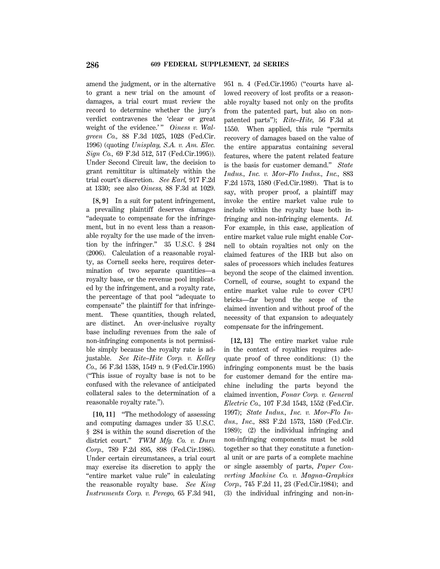amend the judgment, or in the alternative to grant a new trial on the amount of damages, a trial court must review the record to determine whether the jury's verdict contravenes the 'clear or great weight of the evidence.'" Oiness v. Wal*green Co.,* 88 F.3d 1025, 1028 (Fed.Cir. 1996) (quoting *Unisplay, S.A. v. Am. Elec. Sign Co.,* 69 F.3d 512, 517 (Fed.Cir.1995)). Under Second Circuit law, the decision to grant remittitur is ultimately within the trial court's discretion. *See Earl,* 917 F.2d at 1330; see also *Oiness,* 88 F.3d at 1029.

**[8, 9]** In a suit for patent infringement, a prevailing plaintiff deserves damages ''adequate to compensate for the infringement, but in no event less than a reasonable royalty for the use made of the invention by the infringer.'' 35 U.S.C. § 284 (2006). Calculation of a reasonable royalty, as Cornell seeks here, requires determination of two separate quantities—a royalty base, or the revenue pool implicated by the infringement, and a royalty rate, the percentage of that pool ''adequate to compensate'' the plaintiff for that infringement. These quantities, though related, are distinct. An over-inclusive royalty base including revenues from the sale of non-infringing components is not permissible simply because the royalty rate is adjustable. *See Rite–Hite Corp. v. Kelley Co.,* 56 F.3d 1538, 1549 n. 9 (Fed.Cir.1995) (''This issue of royalty base is not to be confused with the relevance of anticipated collateral sales to the determination of a reasonable royalty rate.'').

**[10, 11]** ''The methodology of assessing and computing damages under 35 U.S.C. § 284 is within the sound discretion of the district court.'' *TWM Mfg. Co. v. Dura Corp.,* 789 F.2d 895, 898 (Fed.Cir.1986). Under certain circumstances, a trial court may exercise its discretion to apply the ''entire market value rule'' in calculating the reasonable royalty base. *See King Instruments Corp. v. Perego,* 65 F.3d 941, 951 n. 4 (Fed.Cir.1995) (''courts have allowed recovery of lost profits or a reasonable royalty based not only on the profits from the patented part, but also on nonpatented parts''); *Rite–Hite,* 56 F.3d at 1550. When applied, this rule ''permits recovery of damages based on the value of the entire apparatus containing several features, where the patent related feature is the basis for customer demand.'' *State Indus., Inc. v. Mor–Flo Indus., Inc.,* 883 F.2d 1573, 1580 (Fed.Cir.1989). That is to say, with proper proof, a plaintiff may invoke the entire market value rule to include within the royalty base both infringing and non-infringing elements. *Id.* For example, in this case, application of entire market value rule might enable Cornell to obtain royalties not only on the claimed features of the IRB but also on sales of processors which includes features beyond the scope of the claimed invention. Cornell, of course, sought to expand the entire market value rule to cover CPU bricks—far beyond the scope of the claimed invention and without proof of the necessity of that expansion to adequately compensate for the infringement.

**[12, 13]** The entire market value rule in the context of royalties requires adequate proof of three conditions: (1) the infringing components must be the basis for customer demand for the entire machine including the parts beyond the claimed invention, *Fonar Corp. v. General Electric Co.,* 107 F.3d 1543, 1552 (Fed.Cir. 1997); *State Indus., Inc. v. Mor–Flo Indus., Inc.,* 883 F.2d 1573, 1580 (Fed.Cir. 1989); (2) the individual infringing and non-infringing components must be sold together so that they constitute a functional unit or are parts of a complete machine or single assembly of parts, *Paper Converting Machine Co. v. Magna–Graphics Corp.,* 745 F.2d 11, 23 (Fed.Cir.1984); and (3) the individual infringing and non-in-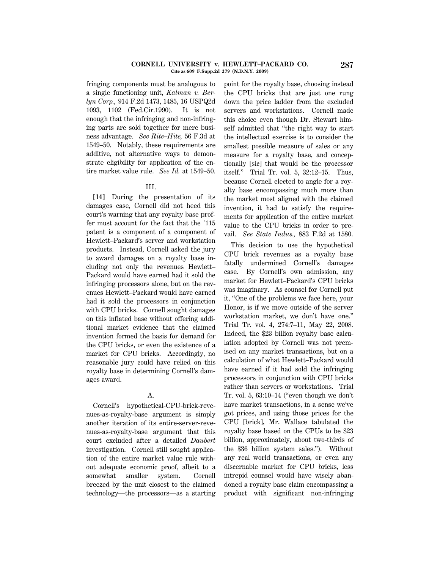#### **CORNELL UNIVERSITY v. HEWLETT–PACKARD CO. 287 Cite as 609 F.Supp.2d 279 (N.D.N.Y. 2009)**

fringing components must be analogous to a single functioning unit, *Kalman v. Berlyn Corp.,* 914 F.2d 1473, 1485, 16 USPQ2d 1093, 1102 (Fed.Cir.1990). It is not enough that the infringing and non-infringing parts are sold together for mere business advantage. *See Rite–Hite,* 56 F.3d at 1549–50. Notably, these requirements are additive, not alternative ways to demonstrate eligibility for application of the entire market value rule. *See Id.* at 1549–50.

#### III.

**[14]** During the presentation of its damages case, Cornell did not heed this court's warning that any royalty base proffer must account for the fact that the '115 patent is a component of a component of Hewlett–Packard's server and workstation products. Instead, Cornell asked the jury to award damages on a royalty base including not only the revenues Hewlett– Packard would have earned had it sold the infringing processors alone, but on the revenues Hewlett–Packard would have earned had it sold the processors in conjunction with CPU bricks. Cornell sought damages on this inflated base without offering additional market evidence that the claimed invention formed the basis for demand for the CPU bricks, or even the existence of a market for CPU bricks. Accordingly, no reasonable jury could have relied on this royalty base in determining Cornell's damages award.

# A.

Cornell's hypothetical-CPU-brick-revenues-as-royalty-base argument is simply another iteration of its entire-server-revenues-as-royalty-base argument that this court excluded after a detailed *Daubert* investigation. Cornell still sought application of the entire market value rule without adequate economic proof, albeit to a somewhat smaller system. Cornell breezed by the unit closest to the claimed technology—the processors—as a starting

point for the royalty base, choosing instead the CPU bricks that are just one rung down the price ladder from the excluded servers and workstations. Cornell made this choice even though Dr. Stewart himself admitted that ''the right way to start the intellectual exercise is to consider the smallest possible measure of sales or any measure for a royalty base, and conceptionally [sic] that would be the processor itself.'' Trial Tr. vol. 5, 32:12–15. Thus, because Cornell elected to angle for a royalty base encompassing much more than the market most aligned with the claimed invention, it had to satisfy the requirements for application of the entire market value to the CPU bricks in order to prevail. *See State Indus.,* 883 F.2d at 1580.

This decision to use the hypothetical CPU brick revenues as a royalty base fatally undermined Cornell's damages case. By Cornell's own admission, any market for Hewlett–Packard's CPU bricks was imaginary. As counsel for Cornell put it, ''One of the problems we face here, your Honor, is if we move outside of the server workstation market, we don't have one.'' Trial Tr. vol. 4, 274:7–11, May 22, 2008. Indeed, the \$23 billion royalty base calculation adopted by Cornell was not premised on any market transactions, but on a calculation of what Hewlett–Packard would have earned if it had sold the infringing processors in conjunction with CPU bricks rather than servers or workstations. Trial Tr. vol. 5,  $63:10-14$  ("even though we don't have market transactions, in a sense we've got prices, and using those prices for the CPU [brick], Mr. Wallace tabulated the royalty base based on the CPUs to be \$23 billion, approximately, about two-thirds of the \$36 billion system sales.''). Without any real world transactions, or even any discernable market for CPU bricks, less intrepid counsel would have wisely abandoned a royalty base claim encompassing a product with significant non-infringing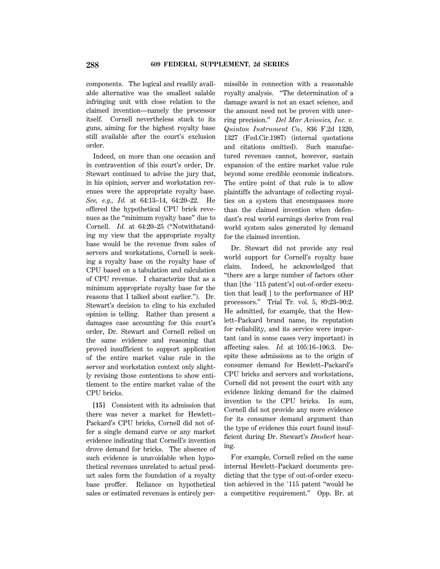components. The logical and readily available alternative was the smallest salable infringing unit with close relation to the claimed invention—namely the processor itself. Cornell nevertheless stuck to its guns, aiming for the highest royalty base still available after the court's exclusion order.

Indeed, on more than one occasion and in contravention of this court's order, Dr. Stewart continued to advise the jury that, in his opinion, server and workstation revenues were the appropriate royalty base. *See, e.g., Id.* at 64:13–14, 64:20–22. He offered the hypothetical CPU brick revenues as the ''minimum royalty base'' due to Cornell. *Id.* at 64:20–25 (''Notwithstanding my view that the appropriate royalty base would be the revenue from sales of servers and workstations, Cornell is seeking a royalty base on the royalty base of CPU based on a tabulation and calculation of CPU revenue. I characterize that as a minimum appropriate royalty base for the reasons that I talked about earlier.''). Dr. Stewart's decision to cling to his excluded opinion is telling. Rather than present a damages case accounting for this court's order, Dr. Stewart and Cornell relied on the same evidence and reasoning that proved insufficient to support application of the entire market value rule in the server and workstation context only slightly revising those contentions to show entitlement to the entire market value of the CPU bricks.

**[15]** Consistent with its admission that there was never a market for Hewlett– Packard's CPU bricks, Cornell did not offer a single demand curve or any market evidence indicating that Cornell's invention drove demand for bricks. The absence of such evidence is unavoidable when hypothetical revenues unrelated to actual product sales form the foundation of a royalty base proffer. Reliance on hypothetical sales or estimated revenues is entirely permissible in connection with a reasonable royalty analysis. ''The determination of a damage award is not an exact science, and the amount need not be proven with unerring precision.'' *Del Mar Avionics, Inc. v. Quinton Instrument Co.,* 836 F.2d 1320, 1327 (Fed.Cir.1987) (internal quotations and citations omitted). Such manufactured revenues cannot, however, sustain expansion of the entire market value rule beyond some credible economic indicators. The entire point of that rule is to allow plaintiffs the advantage of collecting royalties on a system that encompasses more than the claimed invention when defendant's real world earnings derive from real world system sales generated by demand for the claimed invention.

Dr. Stewart did not provide any real world support for Cornell's royalty base claim. Indeed, he acknowledged that ''there are a large number of factors other than [the '115 patent's] out-of-order execution that lead[ ] to the performance of HP processors.'' Trial Tr. vol. 5, 89:23–90:2. He admitted, for example, that the Hewlett–Packard brand name, its reputation for reliability, and its service were important (and in some cases very important) in affecting sales. *Id.* at 105:16–106:3. Despite these admissions as to the origin of consumer demand for Hewlett–Packard's CPU bricks and servers and workstations, Cornell did not present the court with any evidence linking demand for the claimed invention to the CPU bricks. In sum, Cornell did not provide any more evidence for its consumer demand argument than the type of evidence this court found insufficient during Dr. Stewart's *Daubert* hearing.

For example, Cornell relied on the same internal Hewlett–Packard documents predicting that the type of out-of-order execution achieved in the  $'115$  patent "would be a competitive requirement.'' Opp. Br. at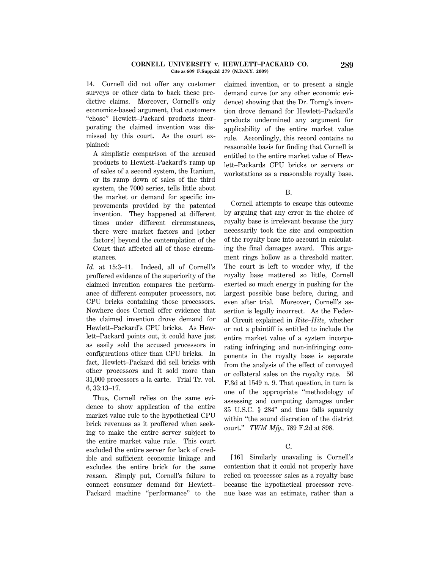#### **CORNELL UNIVERSITY v. HEWLETT–PACKARD CO. 289 Cite as 609 F.Supp.2d 279 (N.D.N.Y. 2009)**

14. Cornell did not offer any customer surveys or other data to back these predictive claims. Moreover, Cornell's only economics-based argument, that customers ''chose'' Hewlett–Packard products incorporating the claimed invention was dismissed by this court. As the court explained:

A simplistic comparison of the accused products to Hewlett–Packard's ramp up of sales of a second system, the Itanium, or its ramp down of sales of the third system, the 7000 series, tells little about the market or demand for specific improvements provided by the patented invention. They happened at different times under different circumstances, there were market factors and [other factors] beyond the contemplation of the Court that affected all of those circumstances.

*Id.* at 15:3–11. Indeed, all of Cornell's proffered evidence of the superiority of the claimed invention compares the performance of different computer processors, not CPU bricks containing those processors. Nowhere does Cornell offer evidence that the claimed invention drove demand for Hewlett–Packard's CPU bricks. As Hewlett–Packard points out, it could have just as easily sold the accused processors in configurations other than CPU bricks. In fact, Hewlett–Packard did sell bricks with other processors and it sold more than 31,000 processors a la carte. Trial Tr. vol. 6, 33:13–17.

Thus, Cornell relies on the same evidence to show application of the entire market value rule to the hypothetical CPU brick revenues as it proffered when seeking to make the entire server subject to the entire market value rule. This court excluded the entire server for lack of credible and sufficient economic linkage and excludes the entire brick for the same reason. Simply put, Cornell's failure to connect consumer demand for Hewlett– Packard machine "performance" to the claimed invention, or to present a single demand curve (or any other economic evidence) showing that the Dr. Torng's invention drove demand for Hewlett–Packard's products undermined any argument for applicability of the entire market value rule. Accordingly, this record contains no reasonable basis for finding that Cornell is entitled to the entire market value of Hewlett–Packards CPU bricks or servers or workstations as a reasonable royalty base.

#### B.

Cornell attempts to escape this outcome by arguing that any error in the choice of royalty base is irrelevant because the jury necessarily took the size and composition of the royalty base into account in calculating the final damages award. This argument rings hollow as a threshold matter. The court is left to wonder why, if the royalty base mattered so little, Cornell exerted so much energy in pushing for the largest possible base before, during, and even after trial. Moreover, Cornell's assertion is legally incorrect. As the Federal Circuit explained in *Rite–Hite,* whether or not a plaintiff is entitled to include the entire market value of a system incorporating infringing and non-infringing components in the royalty base is separate from the analysis of the effect of convoyed or collateral sales on the royalty rate. 56 F.3d at 1549 n. 9. That question, in turn is one of the appropriate ''methodology of assessing and computing damages under 35 U.S.C. § 284'' and thus falls squarely within ''the sound discretion of the district court.'' *TWM Mfg.,* 789 F.2d at 898.

# C.

**[16]** Similarly unavailing is Cornell's contention that it could not properly have relied on processor sales as a royalty base because the hypothetical processor revenue base was an estimate, rather than a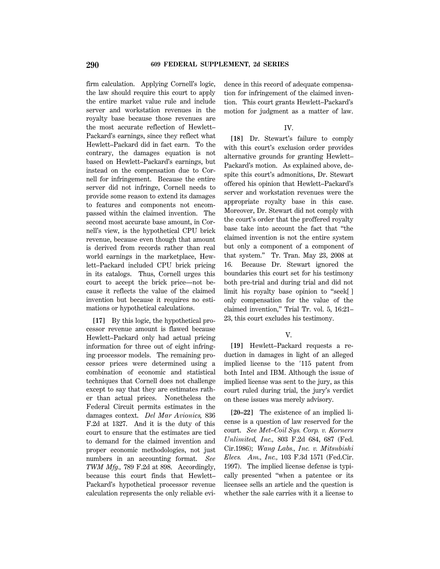firm calculation. Applying Cornell's logic, the law should require this court to apply the entire market value rule and include server and workstation revenues in the royalty base because those revenues are the most accurate reflection of Hewlett– Packard's earnings, since they reflect what Hewlett–Packard did in fact earn. To the contrary, the damages equation is not based on Hewlett–Packard's earnings, but instead on the compensation due to Cornell for infringement. Because the entire server did not infringe, Cornell needs to provide some reason to extend its damages to features and components not encompassed within the claimed invention. The second most accurate base amount, in Cornell's view, is the hypothetical CPU brick revenue, because even though that amount is derived from records rather than real world earnings in the marketplace, Hewlett–Packard included CPU brick pricing in its catalogs. Thus, Cornell urges this court to accept the brick price—not because it reflects the value of the claimed invention but because it requires no estimations or hypothetical calculations.

**[17]** By this logic, the hypothetical processor revenue amount is flawed because Hewlett–Packard only had actual pricing information for three out of eight infringing processor models. The remaining processor prices were determined using a combination of economic and statistical techniques that Cornell does not challenge except to say that they are estimates rather than actual prices. Nonetheless the Federal Circuit permits estimates in the damages context. *Del Mar Avionics,* 836 F.2d at 1327. And it is the duty of this court to ensure that the estimates are tied to demand for the claimed invention and proper economic methodologies, not just numbers in an accounting format. *See TWM Mfg.,* 789 F.2d at 898. Accordingly, because this court finds that Hewlett– Packard's hypothetical processor revenue calculation represents the only reliable evidence in this record of adequate compensation for infringement of the claimed invention. This court grants Hewlett–Packard's motion for judgment as a matter of law.

#### IV.

**[18]** Dr. Stewart's failure to comply with this court's exclusion order provides alternative grounds for granting Hewlett– Packard's motion. As explained above, despite this court's admonitions, Dr. Stewart offered his opinion that Hewlett–Packard's server and workstation revenues were the appropriate royalty base in this case. Moreover, Dr. Stewart did not comply with the court's order that the proffered royalty base take into account the fact that ''the claimed invention is not the entire system but only a component of a component of that system.'' Tr. Tran. May 23, 2008 at 16. Because Dr. Stewart ignored the boundaries this court set for his testimony both pre-trial and during trial and did not limit his royalty base opinion to ''seek[ ] only compensation for the value of the claimed invention,'' Trial Tr. vol. 5, 16:21– 23, this court excludes his testimony.

## V.

**[19]** Hewlett–Packard requests a reduction in damages in light of an alleged implied license to the '115 patent from both Intel and IBM. Although the issue of implied license was sent to the jury, as this court ruled during trial, the jury's verdict on these issues was merely advisory.

**[20–22]** The existence of an implied license is a question of law reserved for the court. *See Met–Coil Sys. Corp. v. Korners Unlimited, Inc.,* 803 F.2d 684, 687 (Fed. Cir.1986); *Wang Labs., Inc. v. Mitsubishi Elecs. Am., Inc.,* 103 F.3d 1571 (Fed.Cir. 1997). The implied license defense is typically presented ''when a patentee or its licensee sells an article and the question is whether the sale carries with it a license to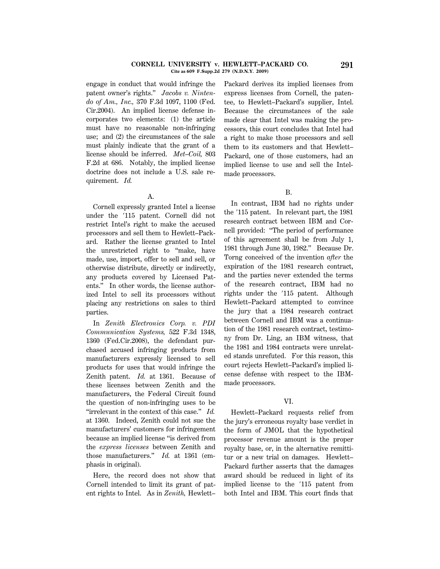#### **CORNELL UNIVERSITY v. HEWLETT–PACKARD CO. 291 Cite as 609 F.Supp.2d 279 (N.D.N.Y. 2009)**

engage in conduct that would infringe the patent owner's rights.'' *Jacobs v. Nintendo of Am., Inc.,* 370 F.3d 1097, 1100 (Fed. Cir.2004). An implied license defense incorporates two elements: (1) the article must have no reasonable non-infringing use; and (2) the circumstances of the sale must plainly indicate that the grant of a license should be inferred. *Met–Coil,* 803 F.2d at 686. Notably, the implied license doctrine does not include a U.S. sale requirement. *Id.*

A.

Cornell expressly granted Intel a license under the 8115 patent. Cornell did not restrict Intel's right to make the accused processors and sell them to Hewlett–Packard. Rather the license granted to Intel the unrestricted right to ''make, have made, use, import, offer to sell and sell, or otherwise distribute, directly or indirectly, any products covered by Licensed Patents.'' In other words, the license authorized Intel to sell its processors without placing any restrictions on sales to third parties.

In *Zenith Electronics Corp. v. PDI Communication Systems,* 522 F.3d 1348, 1360 (Fed.Cir.2008), the defendant purchased accused infringing products from manufacturers expressly licensed to sell products for uses that would infringe the Zenith patent. *Id.* at 1361. Because of these licenses between Zenith and the manufacturers, the Federal Circuit found the question of non-infringing uses to be ''irrelevant in the context of this case.'' *Id.* at 1360. Indeed, Zenith could not sue the manufacturers' customers for infringement because an implied license ''is derived from the *express licenses* between Zenith and those manufacturers.'' *Id.* at 1361 (emphasis in original).

Here, the record does not show that Cornell intended to limit its grant of patent rights to Intel. As in *Zenith,* Hewlett– Packard derives its implied licenses from express licenses from Cornell, the patentee, to Hewlett–Packard's supplier, Intel. Because the circumstances of the sale made clear that Intel was making the processors, this court concludes that Intel had a right to make those processors and sell them to its customers and that Hewlett– Packard, one of those customers, had an implied license to use and sell the Intelmade processors.

B.

In contrast, IBM had no rights under the '115 patent. In relevant part, the 1981 research contract between IBM and Cornell provided: ''The period of performance of this agreement shall be from July 1, 1981 through June 30, 1982.'' Because Dr. Torng conceived of the invention *after* the expiration of the 1981 research contract, and the parties never extended the terms of the research contract, IBM had no rights under the '115 patent. Although Hewlett–Packard attempted to convince the jury that a 1984 research contract between Cornell and IBM was a continuation of the 1981 research contract, testimony from Dr. Ling, an IBM witness, that the 1981 and 1984 contracts were unrelated stands unrefuted. For this reason, this court rejects Hewlett–Packard's implied license defense with respect to the IBMmade processors.

## VI.

Hewlett–Packard requests relief from the jury's erroneous royalty base verdict in the form of JMOL that the hypothetical processor revenue amount is the proper royalty base, or, in the alternative remittitur or a new trial on damages. Hewlett– Packard further asserts that the damages award should be reduced in light of its implied license to the '115 patent from both Intel and IBM. This court finds that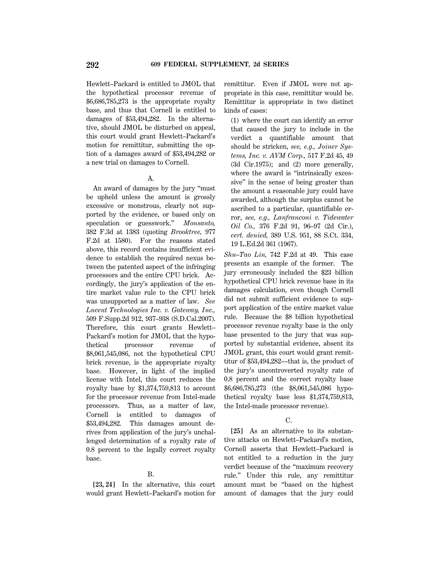Hewlett–Packard is entitled to JMOL that the hypothetical processor revenue of \$6,686,785,273 is the appropriate royalty base, and thus that Cornell is entitled to damages of \$53,494,282. In the alternative, should JMOL be disturbed on appeal, this court would grant Hewlett–Packard's motion for remittitur, submitting the option of a damages award of \$53,494,282 or a new trial on damages to Cornell.

### A.

An award of damages by the jury ''must be upheld unless the amount is grossly excessive or monstrous, clearly not supported by the evidence, or based only on speculation or guesswork.'' *Monsanto,* 382 F.3d at 1383 (quoting *Brooktree,* 977 F.2d at 1580). For the reasons stated above, this record contains insufficient evidence to establish the required nexus between the patented aspect of the infringing processors and the entire CPU brick. Accordingly, the jury's application of the entire market value rule to the CPU brick was unsupported as a matter of law. *See Lucent Technologies Inc. v. Gateway, Inc.,* 509 F.Supp.2d 912, 937–938 (S.D.Cal.2007). Therefore, this court grants Hewlett– Packard's motion for JMOL that the hypothetical processor revenue of \$8,061,545,086, not the hypothetical CPU brick revenue, is the appropriate royalty base. However, in light of the implied license with Intel, this court reduces the royalty base by \$1,374,759,813 to account for the processor revenue from Intel-made processors. Thus, as a matter of law, Cornell is entitled to damages of \$53,494,282. This damages amount derives from application of the jury's unchallenged determination of a royalty rate of 0.8 percent to the legally correct royalty base.

## B.

**[23, 24]** In the alternative, this court would grant Hewlett–Packard's motion for remittitur. Even if JMOL were not appropriate in this case, remittitur would be. Remittitur is appropriate in two distinct kinds of cases:

(1) where the court can identify an error that caused the jury to include in the verdict a quantifiable amount that should be stricken, *see, e.g., Joiner Systems, Inc. v. AVM Corp.,* 517 F.2d 45, 49 (3d Cir.1975); and (2) more generally, where the award is "intrinsically excessive'' in the sense of being greater than the amount a reasonable jury could have awarded, although the surplus cannot be ascribed to a particular, quantifiable error, *see, e.g., Lanfranconi v. Tidewater Oil Co.,* 376 F.2d 91, 96–97 (2d Cir.), *cert. denied,* 389 U.S. 951, 88 S.Ct. 334, 19 L.Ed.2d 361 (1967).

*Shu–Tao Lin,* 742 F.2d at 49. This case presents an example of the former. The jury erroneously included the \$23 billion hypothetical CPU brick revenue base in its damages calculation, even though Cornell did not submit sufficient evidence to support application of the entire market value rule. Because the \$8 billion hypothetical processor revenue royalty base is the only base presented to the jury that was supported by substantial evidence, absent its JMOL grant, this court would grant remittitur of \$53,494,282—that is, the product of the jury's uncontroverted royalty rate of 0.8 percent and the correct royalty base \$6,686,785,273 (the \$8,061,545,086 hypothetical royalty base less \$1,374,759,813, the Intel-made processor revenue).

## $\Gamma$ .

**[25]** As an alternative to its substantive attacks on Hewlett–Packard's motion, Cornell asserts that Hewlett–Packard is not entitled to a reduction in the jury verdict because of the ''maximum recovery rule.'' Under this rule, any remittitur amount must be ''based on the highest amount of damages that the jury could